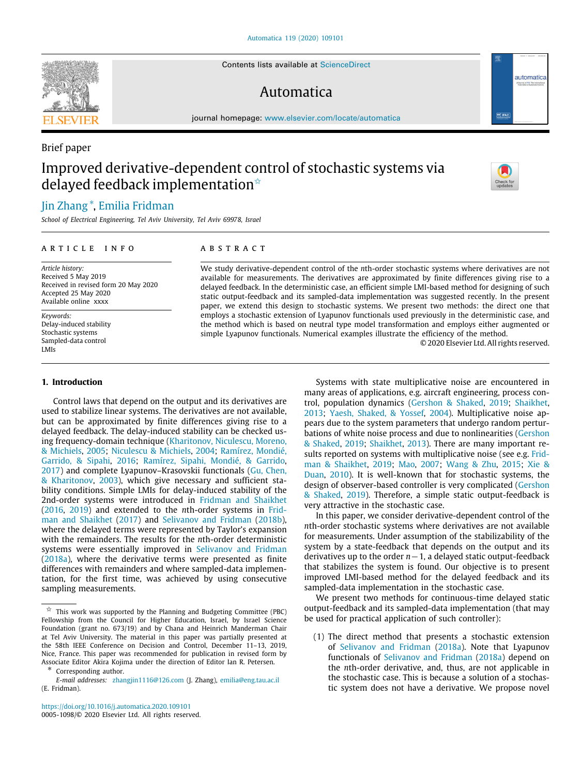Contents lists available at [ScienceDirect](http://www.elsevier.com/locate/automatica)

# Automatica

journal homepage: [www.elsevier.com/locate/automatica](http://www.elsevier.com/locate/automatica)

# Improved derivative-dependent control of stochastic systems via delayed feedback implementation<sup> $\dot{\mathbf{x}}$ </sup>

# [Jin](#page-8-0) [Zhang](#page-8-0) [∗](#page-0-1) , [Emilia](#page-8-1) [Fridman](#page-8-1)

*School of Electrical Engineering, Tel Aviv University, Tel Aviv 69978, Israel*

## a r t i c l e i n f o

*Article history:* Received 5 May 2019 Received in revised form 20 May 2020 Accepted 25 May 2020 Available online xxxx

*Keywords:* Delay-induced stability Stochastic systems Sampled-data control LMIs

#### **1. Introduction**

Control laws that depend on the output and its derivatives are used to stabilize linear systems. The derivatives are not available, but can be approximated by finite differences giving rise to a delayed feedback. The delay-induced stability can be checked using frequency-domain technique ([Kharitonov, Niculescu, Moreno,](#page-7-0) [& Michiels,](#page-7-0) [2005;](#page-7-0) [Niculescu & Michiels](#page-7-1), [2004;](#page-7-1) [Ramírez, Mondié,](#page-7-2) [Garrido, & Sipahi,](#page-7-2) [2016;](#page-7-2) [Ramírez, Sipahi, Mondié, & Garrido,](#page-7-3) [2017\)](#page-7-3) and complete Lyapunov–Krasovskii functionals [\(Gu, Chen,](#page-7-4) [& Kharitonov](#page-7-4), [2003\)](#page-7-4), which give necessary and sufficient stability conditions. Simple LMIs for delay-induced stability of the 2nd-order systems were introduced in [Fridman and Shaikhet](#page-7-5) ([2016,](#page-7-5) [2019](#page-7-6)) and extended to the *n*th-order systems in [Frid](#page-7-7)[man and Shaikhet](#page-7-7) [\(2017](#page-7-7)) and [Selivanov and Fridman](#page-7-8) ([2018b\)](#page-7-8), where the delayed terms were represented by Taylor's expansion with the remainders. The results for the *n*th-order deterministic systems were essentially improved in [Selivanov and Fridman](#page-7-9) ([2018a](#page-7-9)), where the derivative terms were presented as finite differences with remainders and where sampled-data implementation, for the first time, was achieved by using consecutive sampling measurements.

<span id="page-0-1"></span>Corresponding author.

# A B S T R A C T

We study derivative-dependent control of the *n*th-order stochastic systems where derivatives are not available for measurements. The derivatives are approximated by finite differences giving rise to a delayed feedback. In the deterministic case, an efficient simple LMI-based method for designing of such static output-feedback and its sampled-data implementation was suggested recently. In the present paper, we extend this design to stochastic systems. We present two methods: the direct one that employs a stochastic extension of Lyapunov functionals used previously in the deterministic case, and the method which is based on neutral type model transformation and employs either augmented or simple Lyapunov functionals. Numerical examples illustrate the efficiency of the method.

© 2020 Elsevier Ltd. All rights reserved.

Systems with state multiplicative noise are encountered in many areas of applications, e.g. aircraft engineering, process control, population dynamics [\(Gershon & Shaked,](#page-7-10) [2019](#page-7-10); [Shaikhet,](#page-8-2) [2013;](#page-8-2) [Yaesh, Shaked, & Yossef,](#page-8-3) [2004](#page-8-3)). Multiplicative noise appears due to the system parameters that undergo random perturbations of white noise process and due to nonlinearities ([Gershon](#page-7-10) [& Shaked](#page-7-10), [2019](#page-7-10); [Shaikhet,](#page-8-2) [2013](#page-8-2)). There are many important re-sults reported on systems with multiplicative noise (see e.g. [Frid](#page-7-6)[man & Shaikhet,](#page-7-6) [2019;](#page-7-6) [Mao,](#page-7-11) [2007;](#page-7-11) [Wang & Zhu](#page-8-4), [2015](#page-8-4); [Xie &](#page-8-5) [Duan,](#page-8-5) [2010\)](#page-8-5). It is well-known that for stochastic systems, the design of observer-based controller is very complicated ([Gershon](#page-7-10) [& Shaked,](#page-7-10) [2019](#page-7-10)). Therefore, a simple static output-feedback is very attractive in the stochastic case.

In this paper, we consider derivative-dependent control of the *n*th-order stochastic systems where derivatives are not available for measurements. Under assumption of the stabilizability of the system by a state-feedback that depends on the output and its derivatives up to the order *n*−1, a delayed static output-feedback that stabilizes the system is found. Our objective is to present improved LMI-based method for the delayed feedback and its sampled-data implementation in the stochastic case.

We present two methods for continuous-time delayed static output-feedback and its sampled-data implementation (that may be used for practical application of such controller):

(1) The direct method that presents a stochastic extension of [Selivanov and Fridman](#page-7-9) ([2018a](#page-7-9)). Note that Lyapunov functionals of [Selivanov and Fridman](#page-7-9) [\(2018a\)](#page-7-9) depend on the *n*th-order derivative, and, thus, are not applicable in the stochastic case. This is because a solution of a stochastic system does not have a derivative. We propose novel



Brief paper





<span id="page-0-0"></span> $\overrightarrow{x}$  This work was supported by the Planning and Budgeting Committee (PBC) Fellowship from the Council for Higher Education, Israel, by Israel Science Foundation (grant no. 673/19) and by Chana and Heinrich Manderman Chair at Tel Aviv University. The material in this paper was partially presented at the 58th IEEE Conference on Decision and Control, December 11–13, 2019, Nice, France. This paper was recommended for publication in revised form by Associate Editor Akira Kojima under the direction of Editor Ian R. Petersen.

*E-mail addresses:* [zhangjin1116@126.com](mailto:zhangjin1116@126.com) (J. Zhang), [emilia@eng.tau.ac.il](mailto:emilia@eng.tau.ac.il) (E. Fridman).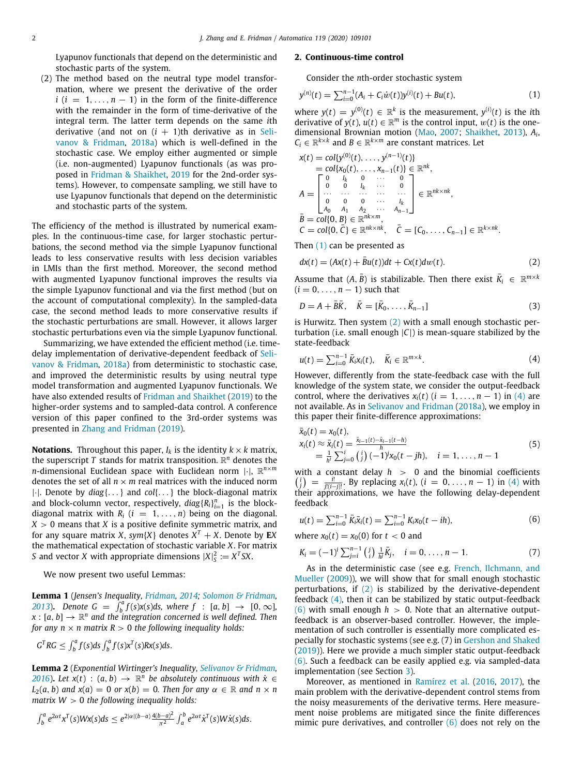Lyapunov functionals that depend on the deterministic and stochastic parts of the system.

(2) The method based on the neutral type model transformation, where we present the derivative of the order  $i$  ( $i = 1, ..., n - 1$ ) in the form of the finite-difference with the remainder in the form of time-derivative of the integral term. The latter term depends on the same *i*th derivative (and not on  $(i + 1)$ th derivative as in [Seli](#page-7-9)[vanov & Fridman,](#page-7-9) [2018a\)](#page-7-9) which is well-defined in the stochastic case. We employ either augmented or simple (i.e. non-augmented) Lyapunov functionals (as was proposed in [Fridman & Shaikhet](#page-7-6), [2019](#page-7-6) for the 2nd-order systems). However, to compensate sampling, we still have to use Lyapunov functionals that depend on the deterministic and stochastic parts of the system.

The efficiency of the method is illustrated by numerical examples. In the continuous-time case, for larger stochastic perturbations, the second method via the simple Lyapunov functional leads to less conservative results with less decision variables in LMIs than the first method. Moreover, the second method with augmented Lyapunov functional improves the results via the simple Lyapunov functional and via the first method (but on the account of computational complexity). In the sampled-data case, the second method leads to more conservative results if the stochastic perturbations are small. However, it allows larger stochastic perturbations even via the simple Lyapunov functional.

Summarizing, we have extended the efficient method (i.e. timedelay implementation of derivative-dependent feedback of [Seli](#page-7-9)[vanov & Fridman,](#page-7-9) [2018a](#page-7-9)) from deterministic to stochastic case, and improved the deterministic results by using neutral type model transformation and augmented Lyapunov functionals. We have also extended results of [Fridman and Shaikhet](#page-7-6) [\(2019\)](#page-7-6) to the higher-order systems and to sampled-data control. A conference version of this paper confined to the 3rd-order systems was presented in [Zhang and Fridman](#page-8-6) [\(2019](#page-8-6)).

**Notations.** Throughout this paper,  $I_k$  is the identity  $k \times k$  matrix, the superscript  $T$  stands for matrix transposition.  $\mathbb{R}^n$  denotes the *n*-dimensional Euclidean space with Euclidean norm |·|, R *n*×*m* denotes the set of all  $n \times m$  real matrices with the induced norm |·|. Denote by *diag*{. . .} and *col*{. . .} the block-diagonal matrix and block-column vector, respectively,  $diag\{R_i\}_{i=1}^n$  is the blockdiagonal matrix with  $R_i$  ( $i = 1, ..., n$ ) being on the diagonal.  $X > 0$  means that *X* is a positive definite symmetric matrix, and for any square matrix *X*,  $sym\{X\}$  denotes  $X^T+X$ . Denote by  $EX$ the mathematical expectation of stochastic variable *X*. For matrix *S* and vector *X* with appropriate dimensions  $|X|_{S}^{2} := X^{T}SX$ .

We now present two useful Lemmas:

**Lemma 1** (*Jensen's Inequality, [Fridman](#page-7-12), [2014](#page-7-12); [Solomon & Fridman,](#page-8-7) [2013](#page-8-7)*). *Denote*  $G = \int_{b}^{a} f(s)x(s)ds$ , where  $f : [a, b] \rightarrow [0, \infty]$ ,  $\mathbf{x}:[a,b]\rightarrow\mathbb{R}^n$  and the integration concerned is well defined. Then *for any n*  $\times$  *n* matrix *R*  $>$  0 *the following inequality holds:* 

$$
GTRG \leq \int_b^a f(s)ds \int_b^a f(s)xT(s)Rx(s)ds.
$$

<span id="page-1-8"></span>**Lemma 2** (*Exponential Wirtinger's Inequality, [Selivanov & Fridman,](#page-7-13) [2016](#page-7-13)*). Let  $x(t)$  :  $(a, b) \rightarrow \mathbb{R}^n$  be absolutely continuous with  $\dot{x} \in$  $L_2(a, b)$  *and*  $x(a) = 0$  *or*  $x(b) = 0$ *. Then for any*  $\alpha \in \mathbb{R}$  *and*  $n \times n$ *matrix W* > 0 *the following inequality holds:*

$$
\int_b^a e^{2\alpha t} x^T(s)Wx(s)ds \leq e^{2|\alpha|(b-a)}\frac{4(b-a)^2}{\pi^2} \int_a^b e^{2\alpha t} x^T(s)W\dot{x}(s)ds.
$$

#### **2. Continuous-time control**

<span id="page-1-0"></span>Consider the *n*th-order stochastic system

$$
y^{(n)}(t) = \sum_{i=0}^{n-1} (A_i + C_i \dot{w}(t)) y^{(i)}(t) + Bu(t),
$$
\n(1)

where  $y(t) = y^{(0)}(t) \in \mathbb{R}^k$  is the measurement,  $y^{(i)}(t)$  is the *i*th derivative of  $y(t)$ ,  $u(t) \in \mathbb{R}^m$  is the control input,  $w(t)$  is the onedimensional Brownian motion [\(Mao,](#page-7-11) [2007;](#page-7-11) [Shaikhet,](#page-8-2) [2013\)](#page-8-2), *A<sup>i</sup>* ,  $C_i \in \mathbb{R}^{k \times k}$  and  $B \in \mathbb{R}^{k \times m}$  are constant matrices. Let

$$
x(t) = col\{y^{(0)}(t), \ldots, y^{(n-1)}(t)\}
$$
  
\n
$$
= col\{x_0(t), \ldots, x_{n-1}(t)\} \in \mathbb{R}^{nk},
$$
  
\n
$$
A = \begin{bmatrix} 0 & l_k & 0 & \cdots & 0 \\ 0 & l_k & \cdots & 0 & 0 \\ \cdots & \cdots & \cdots & \cdots & \cdots & \cdots \\ 0 & 0 & 0 & \cdots & l_k \\ a_0 & A_1 & A_2 & \cdots & A_{n-1} \end{bmatrix} \in \mathbb{R}^{nk \times nk},
$$
  
\n
$$
\bar{B} = col\{0, B\} \in \mathbb{R}^{nk \times m}, \quad \bar{C} = [C_0, \ldots, C_{n-1}] \in \mathbb{R}^{k \times nk}.
$$

Then ([1](#page-1-0)) can be presented as

<span id="page-1-1"></span>
$$
dx(t) = (Ax(t) + \bar{B}u(t))dt + Cx(t)dw(t).
$$
\n(2)

Assume that  $(A, \overline{B})$  is stabilizable. Then there exist  $\overline{K}_i \in \mathbb{R}^{m \times k}$  $(i = 0, \ldots, n-1)$  such that

<span id="page-1-4"></span>
$$
D = A + \bar{B}\bar{K}, \quad \bar{K} = [\bar{K}_0, \dots, \bar{K}_{n-1}]
$$
\n(3)

is Hurwitz. Then system [\(2\)](#page-1-1) with a small enough stochastic perturbation (i.e. small enough |*C*|) is mean-square stabilized by the state-feedback

<span id="page-1-2"></span>
$$
u(t) = \sum_{i=0}^{n-1} \bar{K}_i x_i(t), \quad \bar{K}_i \in \mathbb{R}^{m \times k}.
$$
 (4)

However, differently from the state-feedback case with the full knowledge of the system state, we consider the output-feedback control, where the derivatives  $x_i(t)$  ( $i = 1, ..., n - 1$ ) in ([4\)](#page-1-2) are not available. As in [Selivanov and Fridman](#page-7-9) ([2018a](#page-7-9)), we employ in this paper their finite-difference approximations:

<span id="page-1-7"></span>
$$
\begin{array}{l}\n\bar{x}_0(t) = x_0(t), \\
x_i(t) \approx \bar{x}_i(t) = \frac{\bar{x}_{i-1}(t) - \bar{x}_{i-1}(t-h)}{h} \\
= \frac{1}{h^i} \sum_{j=0}^i \binom{i}{j} (-1)^j x_0(t-jh), \quad i = 1, \dots, n-1\n\end{array} \tag{5}
$$

with a constant delay *h* > 0 and the binomial coefficients  $\binom{i}{j} = \frac{i!}{j!(i-j)!}$ . By replacing *x*<sub>*i*</sub>(*t*), (*i* = 0, . . . , *n* − 1) in ([4](#page-1-2)) with their approximations, we have the following delay-dependent feedback

<span id="page-1-3"></span>
$$
u(t) = \sum_{i=0}^{n-1} \bar{K}_i \bar{x}_i(t) = \sum_{i=0}^{n-1} K_i x_0(t - ih), \tag{6}
$$

where  $x_0(t) = x_0(0)$  for  $t < 0$  and

<span id="page-1-5"></span>
$$
K_i = (-1)^i \sum_{j=i}^{n-1} {j \choose i} \frac{1}{h^j} \bar{K}_j, \quad i = 0, \dots, n-1.
$$
 (7)

<span id="page-1-6"></span>As in the deterministic case (see e.g. [French, Ilchmann, and](#page-7-14) [Mueller](#page-7-14) ([2009](#page-7-14))), we will show that for small enough stochastic perturbations, if  $(2)$  $(2)$  $(2)$  is stabilized by the derivative-dependent feedback  $(4)$ , then it can be stabilized by static output-feedback  $(6)$  $(6)$  with small enough  $h > 0$ . Note that an alternative outputfeedback is an observer-based controller. However, the implementation of such controller is essentially more complicated especially for stochastic systems (see e.g. (7) in [Gershon and Shaked](#page-7-10) ([2019\)](#page-7-10)). Here we provide a much simpler static output-feedback ([6\)](#page-1-3). Such a feedback can be easily applied e.g. via sampled-data implementation (see Section [3\)](#page-5-0).

Moreover, as mentioned in [Ramírez et al.](#page-7-2) [\(2016,](#page-7-2) [2017](#page-7-3)), the main problem with the derivative-dependent control stems from the noisy measurements of the derivative terms. Here measurement noise problems are mitigated since the finite differences mimic pure derivatives, and controller  $(6)$  does not rely on the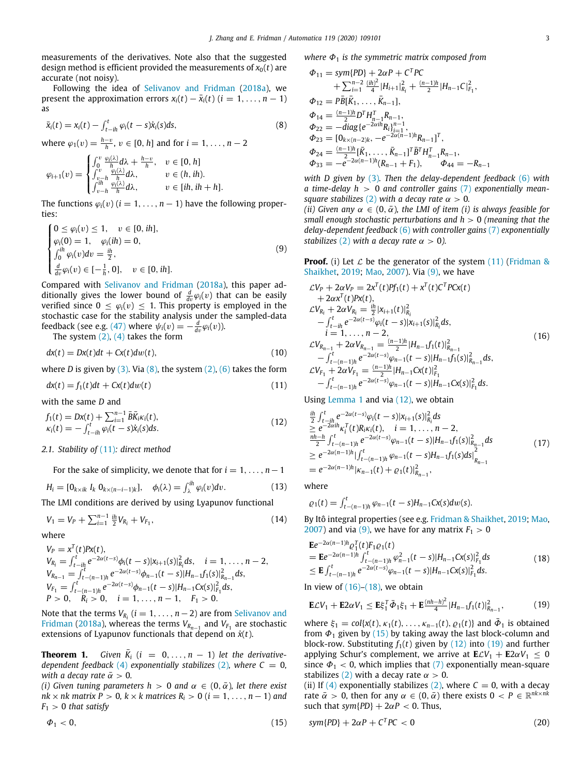measurements of the derivatives. Note also that the suggested design method is efficient provided the measurements of  $x<sub>0</sub>(t)$  are accurate (not noisy).

Following the idea of [Selivanov and Fridman](#page-7-9) ([2018a](#page-7-9)), we present the approximation errors  $x_i(t) - \bar{x}_i(t)$  ( $i = 1, ..., n - 1$ ) as

$$
\bar{x}_i(t) = x_i(t) - \int_{t-ih}^t \varphi_i(t-s)\dot{x}_i(s)ds,
$$
\n(8)

where  $\varphi_1(v) = \frac{h-v}{h}$ ,  $v \in [0, h]$  and for  $i = 1, ..., n - 2$ 

$$
\varphi_{i+1}(v) = \begin{cases}\n\int_0^v \frac{\varphi_i(\lambda)}{h} d\lambda + \frac{h-v}{h}, & v \in [0, h] \\
\int_{v-h}^v \frac{\varphi_i(\lambda)}{h} d\lambda, & v \in (h, ih). \\
\int_{v-h}^{ih} \frac{\varphi_i(\lambda)}{h} d\lambda, & v \in [ih, ih+h].\n\end{cases}
$$

The functions  $\varphi_i(v)$  ( $i = 1, \ldots, n-1$ ) have the following properties:

$$
\begin{cases}\n0 \le \varphi_i(v) \le 1, & v \in [0, ih], \\
\varphi_i(0) = 1, & \varphi_i(ih) = 0, \\
\int_0^h \varphi_i(v) dv = \frac{ih}{2}, \\
\frac{d}{dv} \varphi_i(v) \in [-\frac{1}{h}, 0], & v \in [0, ih].\n\end{cases}
$$
\n(9)

Compared with [Selivanov and Fridman](#page-7-9) ([2018a](#page-7-9)), this paper additionally gives the lower bound of  $\frac{d}{dv}\varphi_i(v)$  that can be easily verified since  $0 \leq \varphi_i(v) \leq 1$ . This property is employed in the stochastic case for the stability analysis under the sampled-data feedback (see e.g.  $(47)$  where  $\psi_i(v) = -\frac{d}{dv}\varphi_i(v)$ ).

The system  $(2)$ ,  $(4)$  $(4)$  takes the form

$$
dx(t) = Dx(t)dt + Cx(t)dw(t),
$$
\n(10)

where *D* is given by  $(3)$  $(3)$ . Via  $(8)$  $(8)$ , the system  $(2)$  $(2)$  $(2)$ ,  $(6)$  $(6)$  takes the form

$$
dx(t) = f_1(t)dt + Cx(t)dw(t)
$$
\n(11)

with the same *D* and

$$
f_1(t) = Dx(t) + \sum_{i=1}^{n-1} \bar{B}\bar{K}_i \kappa_i(t),
$$
  
\n
$$
\kappa_i(t) = -\int_{t-in}^t \varphi_i(t-s)\dot{x}_i(s)ds.
$$
\n(12)

#### *2.1. Stability of* [\(11\)](#page-2-1)*: direct method*

For the sake of simplicity, we denote that for  $i = 1, \ldots, n-1$ 

$$
H_i = [0_{k \times ik} I_k 0_{k \times (n-i-1)k}], \quad \phi_i(\lambda) = \int_{\lambda}^{ih} \varphi_i(v) dv.
$$
 (13)

The LMI conditions are derived by using Lyapunov functional

$$
V_1 = V_P + \sum_{i=1}^{n-1} \frac{ih}{2} V_{R_i} + V_{F_1}, \tag{14}
$$

where

$$
V_P = x^T(t)Px(t),
$$
  
\n
$$
V_{R_i} = \int_{t-ih}^t e^{-2\alpha(t-s)}\phi_i(t-s)|x_{i+1}(s)|_{R_i}^2 ds, \quad i = 1, ..., n-2,
$$
  
\n
$$
V_{R_{n-1}} = \int_{t-(n-1)h}^t e^{-2\alpha(t-s)}\phi_{n-1}(t-s)|H_{n-1}f_1(s)|_{R_{n-1}}^2 ds,
$$
  
\n
$$
V_{F_1} = \int_{t-(n-1)h}^t e^{-2\alpha(t-s)}\phi_{n-1}(t-s)|H_{n-1}Cx(s)|_{F_1}^2 ds,
$$
  
\n
$$
P > 0, \quad R_i > 0, \quad i = 1, ..., n-1, \quad F_1 > 0.
$$

Note that the terms  $V_{R_i}$  ( $i = 1, \ldots, n-2$ ) are from [Selivanov and](#page-7-9) [Fridman](#page-7-9) [\(2018a\)](#page-7-9), whereas the terms  $V_{R_{n-1}}$  and  $V_{F_1}$  are stochastic extensions of Lyapunov functionals that depend on  $\dot{x}(t)$ .

<span id="page-2-9"></span>**Theorem 1.** *Given*  $\overline{K}_i$  ( $i = 0, ..., n - 1$ ) *let the derivativedependent feedback* ([4](#page-1-2)) *exponentially stabilizes* [\(2](#page-1-1)), where  $C = 0$ , *with a decay rate*  $\bar{\alpha} > 0$ *.* 

*(i) Given tuning parameters h > 0 and*  $\alpha \in (0, \bar{\alpha})$ *, let there exist nk* × *nk* matrix  $P > 0$ ,  $k \times k$  matrices  $R_i > 0$  ( $i = 1, ..., n - 1$ ) and  $F_1 > 0$  *that satisfy* 

$$
\varPhi_1 < 0,\tag{15}
$$

*where* Φ<sup>1</sup> *is the symmetric matrix composed from*

<span id="page-2-0"></span>
$$
\Phi_{11} = sym\{PD\} + 2\alpha P + C^T PC
$$
  
+  $\sum_{i=1}^{n-2} \frac{(ih)^2}{4} |H_{i+1}|_{R_i}^2 + \frac{(n-1)h}{2} |H_{n-1}C|_{F_1}^2$ ,  

$$
\Phi_{12} = P\bar{B}[\bar{K}_1, \dots, \bar{K}_{n-1}],
$$
  

$$
\Phi_{14} = \frac{(n-1)h}{2} D^T H_{n-1}^T R_{n-1},
$$
  

$$
\Phi_{22} = -diag\{e^{-2\alpha i h} R_i\}_{i=1}^{n-1},
$$
  

$$
\Phi_{23} = [0_{k \times (n-2)k}, -e^{-2\alpha (n-1)h} R_{n-1}]^T,
$$
  

$$
\Phi_{24} = \frac{(n-1)h}{2} [\bar{K}_1, \dots, \bar{K}_{n-1}]^T \bar{B}^T H_{n-1}^T R_{n-1},
$$
  

$$
\Phi_{33} = -e^{-2\alpha (n-1)h} (R_{n-1} + F_1), \qquad \Phi_{44} = -R_{n-1}
$$

*with D given by* [\(3](#page-1-4))*. Then the delay-dependent feedback* [\(6](#page-1-3)) *with a time-delay h* > 0 *and controller gains* ([7](#page-1-5)) *exponentially meansquare stabilizes* ([2\)](#page-1-1) *with a decay rate*  $\alpha > 0$ *.* 

*(ii)* Given any  $\alpha \in (0, \bar{\alpha})$ , the LMI of item *(i)* is always feasible for *small enough stochastic perturbations and h* > 0 *(meaning that the delay-dependent feedback* [\(6](#page-1-3)) *with controller gains* [\(7](#page-1-5)) *exponentially stabilizes* ([2](#page-1-1)) *with a decay rate*  $\alpha > 0$ *).* 

<span id="page-2-2"></span>**Proof.** (i) Let  $\mathcal{L}$  be the generator of the system ([11](#page-2-1)) ([Fridman &](#page-7-6) [Shaikhet,](#page-7-6) [2019;](#page-7-6) [Mao](#page-7-11), [2007\)](#page-7-11). Via ([9\)](#page-2-2), we have

<span id="page-2-4"></span>
$$
\mathcal{L}V_{P} + 2\alpha V_{P} = 2x^{T}(t)Pf_{1}(t) + x^{T}(t)C^{T}PCx(t)
$$
  
+2\alpha x^{T}(t)Px(t),  

$$
\mathcal{L}V_{R_{i}} + 2\alpha V_{R_{i}} = \frac{ib}{2}|x_{i+1}(t)|_{R_{i}}^{2}
$$
  
-  $\int_{t-in}^{t} e^{-2\alpha(t-s)}\varphi_{i}(t-s)|x_{i+1}(s)|_{R_{i}}^{2}ds$ ,  
i = 1, ..., n - 2,  

$$
\mathcal{L}V_{R_{n-1}} + 2\alpha V_{R_{n-1}} = \frac{(n-1)h}{2}|H_{n-1}f_{1}(t)|_{R_{n-1}}^{2}
$$
  
-  $\int_{t-(n-1)h}^{t} e^{-2\alpha(t-s)}\varphi_{n-1}(t-s)|H_{n-1}f_{1}(s)|_{R_{n-1}}^{2}ds$ ,  

$$
\mathcal{L}V_{F_{1}} + 2\alpha V_{F_{1}} = \frac{(n-1)h}{2}|H_{n-1}Cx(t)|_{F_{1}}^{2}
$$
  
-  $\int_{t-(n-1)h}^{t} e^{-2\alpha(t-s)}\varphi_{n-1}(t-s)|H_{n-1}Cx(s)|_{F_{1}}^{2}ds$ .

<span id="page-2-1"></span>Using [Lemma](#page-1-6) [1](#page-1-6) and via  $(12)$  $(12)$  $(12)$ , we obtain

<span id="page-2-3"></span>
$$
\begin{array}{ll}\n\frac{ih}{2} \int_{t-ih}^{t} e^{-2\alpha(t-s)} \varphi_i(t-s) |x_{i+1}(s)|_{R_i}^2 ds \\
\geq e^{-2\alpha ih} \kappa_i^T(t) R_i \kappa_i(t), \quad i = 1, \dots, n-2, \\
\frac{nh-h}{2} \int_{t-(n-1)h}^{t} e^{-2\alpha(t-s)} \varphi_{n-1}(t-s) |H_{n-1}f_1(s)|_{R_{n-1}}^2 ds \\
\geq e^{-2\alpha(n-1)h} | \int_{t-(n-1)h}^{t} \varphi_{n-1}(t-s) H_{n-1}f_1(s) ds |_{R_{n-1}}^2 \\
= e^{-2\alpha(n-1)h} | \kappa_{n-1}(t) + \varrho_1(t) |_{R_{n-1}}^2,\n\end{array} \tag{17}
$$

where

$$
\varrho_1(t) = \int_{t-(n-1)h}^t \varphi_{n-1}(t-s)H_{n-1}Cx(s)dw(s).
$$

<span id="page-2-10"></span>By Itô integral properties (see e.g. [Fridman & Shaikhet,](#page-7-6) [2019;](#page-7-6) [Mao,](#page-7-11) [2007\)](#page-7-11) and via ([9](#page-2-2)), we have for any matrix  $F_1 > 0$ 

<span id="page-2-5"></span>
$$
\mathbf{E}e^{-2\alpha(n-1)h} \mathcal{Q}_1^T(t)F_1\mathcal{Q}_1(t)
$$
\n
$$
= \mathbf{E}e^{-2\alpha(n-1)h} \int_{t-(n-1)h}^t \varphi_{n-1}^2(t-s) |H_{n-1}Cx(s)|_{F_1}^2 ds
$$
\n
$$
\leq \mathbf{E} \int_{t-(n-1)h}^t e^{-2\alpha(t-s)} \varphi_{n-1}(t-s) |H_{n-1}Cx(s)|_{F_1}^2 ds.
$$
\n(18)

In view of  $(16)$ – $(18)$  $(18)$  $(18)$ , we obtain

<span id="page-2-7"></span>
$$
\mathbf{E}\mathcal{L}V_1 + \mathbf{E}2\alpha V_1 \le \mathbf{E}\xi_1^T \bar{\Phi}_1 \xi_1 + \mathbf{E}\frac{(nh-h)^2}{4} |H_{n-1}f_1(t)|_{R_{n-1}}^2,
$$
(19)

where  $\xi_1 = \text{col}\{x(t), \kappa_1(t), \ldots, \kappa_{n-1}(t), \varrho_1(t)\}$  and  $\overline{\Phi}_1$  is obtained from  $\Phi_1$  given by ([15](#page-2-6)) by taking away the last block-column and block-row. Substituting  $f_1(t)$  given by  $(12)$  $(12)$  $(12)$  into  $(19)$  and further applying Schur's complement, we arrive at  $\mathbf{E}\mathcal{L}V_1 + \mathbf{E}2\alpha V_1 \leq 0$ since  $\Phi_1$  < 0, which implies that [\(7](#page-1-5)) exponentially mean-square stabilizes ([2\)](#page-1-1) with a decay rate  $\alpha > 0$ .

(ii) If  $(4)$  $(4)$  exponentially stabilizes  $(2)$  $(2)$ , where  $C = 0$ , with a decay rate  $\bar{\alpha} > 0$ , then for any  $\alpha \in (0, \bar{\alpha})$  there exists  $0 < P \in \mathbb{R}^{nk \times nk}$ such that  $sym\{PD\}$  +  $2\alpha P < 0$ . Thus,

<span id="page-2-8"></span><span id="page-2-6"></span>
$$
sym\{PD\} + 2\alpha P + C^T PC < 0\tag{20}
$$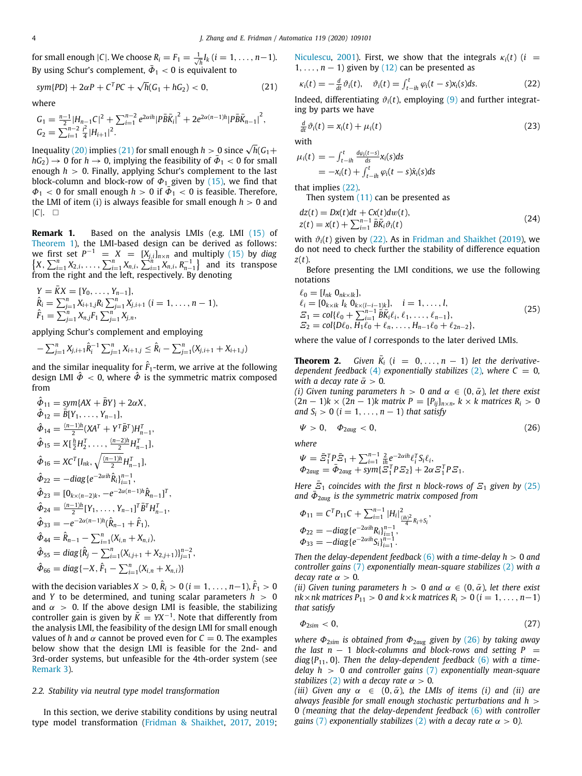for small enough  $|C|$ . We choose  $R_i = F_1 = \frac{1}{\sqrt{h}} I_k$  ( $i = 1, ..., n-1$ ). By using Schur's complement,  $\bar{\phi}_1 < 0$  is equivalent to

$$
sym\{PD\} + 2\alpha P + C^{T}PC + \sqrt{h}(G_1 + hG_2) < 0,\tag{21}
$$

where

$$
G_1 = \frac{n-1}{2} |H_{n-1}C|^2 + \sum_{i=1}^{n-2} e^{2\alpha i h} |P\overline{B}\overline{K}_i|^2 + 2e^{2\alpha(n-1)h} |P\overline{B}\overline{K}_{n-1}|^2,
$$
  
\n
$$
G_2 = \sum_{i=1}^{n-2} \frac{i^2}{4} |H_{i+1}|^2.
$$

Inequality ([20](#page-2-8)) implies ([21](#page-3-0)) for small enough  $h > 0$  since  $\sqrt{h}(G_1 +$  $hG_2$ )  $\rightarrow$  0 for  $h \rightarrow 0$ , implying the feasibility of  $\bar{\Phi}_1$  < 0 for small enough *h* > 0. Finally, applying Schur's complement to the last block-column and block-row of  $\Phi_1$  given by [\(15\)](#page-2-6), we find that  $\Phi_1$  < 0 for small enough  $h > 0$  if  $\overline{\Phi}_1$  < 0 is feasible. Therefore, the LMI of item (i) is always feasible for small enough  $h > 0$  and |*C*|. □

<span id="page-3-7"></span>**Remark 1.** Based on the analysis LMIs (e.g. LMI [\(15\)](#page-2-6) of [Theorem](#page-2-9) [1](#page-2-9)), the LMI-based design can be derived as follows: we first set  $P^{-1} = X = [X_{j,i}]_{n \times n}$  and multiply ([15](#page-2-6)) by *diag*  $\{X, \sum_{i=1}^{n} X_{2,i}, \ldots, \sum_{i=1}^{n} X_{n,i}, \sum_{i=1}^{n} X_{n,i}, R_{n-1}^{-1}\}$  and its transpose from the right and the left, respectively. By denoting

$$
Y = \overline{K}X = [Y_0, \ldots, Y_{n-1}],
$$
  
\n
$$
\hat{R}_i = \sum_{j=1}^n X_{i+1,j} R_i \sum_{j=1}^n X_{j,i+1} \ (i = 1, \ldots, n-1),
$$
  
\n
$$
\hat{F}_1 = \sum_{j=1}^n X_{n,j} F_1 \sum_{j=1}^n X_{j,n},
$$

applying Schur's complement and employing

$$
-\sum_{j=1}^n X_{j,i+1}\hat{R}_i^{-1} \sum_{j=1}^n X_{i+1,j} \leq \hat{R}_i - \sum_{j=1}^n (X_{j,i+1} + X_{i+1,j})
$$

and the similar inequality for  $\hat{F}_1$ -term, we arrive at the following design LMI  $\hat{\Phi}$  < 0, where  $\hat{\Phi}$  is the symmetric matrix composed from

$$
\hat{\Phi}_{11} = sym\{AX + \bar{B}Y\} + 2\alpha X,\n\hat{\Phi}_{12} = \bar{B}[Y_1, \dots, Y_{n-1}],\n\hat{\Phi}_{14} = \frac{(n-1)h}{2}(XA^T + Y^T \bar{B}^T)H_{n-1}^T,\n\hat{\Phi}_{15} = X[\frac{h}{2}H_2^T, \dots, \frac{(n-2)h}{2}H_{n-1}^T],\n\hat{\Phi}_{16} = XC^T[I_{nk}, \sqrt{\frac{(n-1)h}{2}}H_{n-1}^T],\n\hat{\Phi}_{22} = -diag\{e^{-2\alpha i\hat{n}}\hat{R}_i\}_{i=1}^{n-1},\n\hat{\Phi}_{23} = [0_{k\times(n-2)k}, -e^{-2\alpha(n-1)h}\hat{R}_{n-1}]^T,\n\hat{\Phi}_{33} = -e^{-2\alpha(n-1)h}(\hat{R}_{n-1} + \hat{F}_1),\n\hat{\Phi}_{44} = \hat{R}_{n-1} - \sum_{i=1}^n (X_{i,n} + X_{n,i}),\n\hat{\Phi}_{55} = diag\{\hat{R}_j - \sum_{i=1}^n (X_{i,j+1} + X_{2,j+1})\}_{j=1}^{n-2},\n\hat{\Phi}_{66} = diag\{-X, \hat{F}_1 - \sum_{i=1}^n (X_{i,j+1} + X_{n,i})\}
$$

with the decision variables  $X > 0$ ,  $\hat{R}_i > 0$   $(i = 1, \ldots, n{-}1)$ ,  $\hat{F}_1 > 0$ and *Y* to be determined, and tuning scalar parameters  $h > 0$ and  $\alpha > 0$ . If the above design LMI is feasible, the stabilizing controller gain is given by  $\overline{K} = YX^{-1}$ . Note that differently from the analysis LMI, the feasibility of the design LMI for small enough values of *h* and  $\alpha$  cannot be proved even for  $C = 0$ . The examples below show that the design LMI is feasible for the 2nd- and 3rd-order systems, but unfeasible for the 4th-order system (see [Remark](#page-4-0) [3\)](#page-4-0).

#### *2.2. Stability via neutral type model transformation*

In this section, we derive stability conditions by using neutral type model transformation ([Fridman & Shaikhet](#page-7-7), [2017,](#page-7-7) [2019;](#page-7-6) [Niculescu,](#page-7-15) [2001](#page-7-15)). First, we show that the integrals  $\kappa_i(t)$  (*i* =  $1, \ldots, n-1$ ) given by ([12](#page-2-3)) can be presented as

<span id="page-3-1"></span><span id="page-3-0"></span>
$$
\kappa_i(t) = -\frac{d}{dt}\vartheta_i(t), \quad \vartheta_i(t) = \int_{t-ih}^t \varphi_i(t-s)x_i(s)ds.
$$
 (22)

Indeed, differentiating  $\vartheta_i(t)$ , employing ([9](#page-2-2)) and further integrating by parts we have

<span id="page-3-5"></span>
$$
\frac{d}{dt}\vartheta_i(t) = x_i(t) + \mu_i(t) \tag{23}
$$

$$
\mu_i(t) = -\int_{t-ih}^t \frac{d\varphi_i(t-s)}{ds} \chi_i(s) ds
$$
  
=  $-\chi_i(t) + \int_{t-ih}^t \varphi_i(t-s) \dot{\chi}_i(s) ds$ 

that implies ([22\)](#page-3-1).

with

<span id="page-3-4"></span>Then system  $(11)$  can be presented as

$$
dz(t) = Dx(t)dt + Cx(t)dw(t),
$$
  
\n
$$
z(t) = x(t) + \sum_{i=1}^{n-1} \bar{B}\bar{K}_i \vartheta_i(t)
$$
\n(24)

with  $\vartheta_i(t)$  given by [\(22\)](#page-3-1). As in [Fridman and Shaikhet](#page-7-6) [\(2019](#page-7-6)), we do not need to check further the stability of difference equation *z*(*t*).

Before presenting the LMI conditions, we use the following notations

<span id="page-3-2"></span>
$$
\ell_0 = [I_{nk} \ 0_{nk \times lk}],\n\ell_i = [0_{k \times ik} \ I_k \ 0_{k \times (l-i-1)k}], \quad i = 1, ..., l,\n\varXi_1 = col{\ell_0 + \sum_{i=1}^{n-1} \bar{B} \bar{K}_i \ell_i, \ell_1, ..., \ell_{n-1},}\n\varXi_2 = col{D\ell_0, H_1 \ell_0 + \ell_n, ..., H_{n-1} \ell_0 + \ell_{2n-2}},
$$
\n(25)

<span id="page-3-6"></span>where the value of *l* corresponds to the later derived LMIs.

**Theorem 2.** *Given*  $\bar{K}_i$  ( $i = 0, \ldots, n-1$ ) *let the derivativedependent feedback* ([4\)](#page-1-2) *exponentially stabilizes* ([2](#page-1-1)), *where*  $C = 0$ *, with a decay rate*  $\bar{\alpha} > 0$ *.* 

*(i) Given tuning parameters h > 0 and*  $\alpha \in (0, \bar{\alpha})$ *, let there exist*  $(2n - 1)$ *k* ×  $(2n − 1)$ *k* matrix *P* =  $[P_{ij}]_{n \times n}$ *, k* × *k* matrices  $R_i$  > 0 *and*  $S_i > 0$  ( $i = 1, \ldots, n - 1$ ) *that satisfy* 

<span id="page-3-3"></span>
$$
\Psi > 0, \quad \Phi_{2aug} < 0, \tag{26}
$$

*where*

$$
\begin{array}{l}\n\Psi = \bar{\mathcal{Z}}_1^T P \bar{\mathcal{Z}}_1 + \sum_{i=1}^{n-1} \frac{2}{i\hbar} e^{-2\alpha i\hbar} \ell_i^T S_i \ell_i, \\
\Phi_{2aug} = \bar{\Phi}_{2aug} + sym\{\mathcal{Z}_1^T P \mathcal{Z}_2\} + 2\alpha \mathcal{Z}_1^T P \mathcal{Z}_1.\n\end{array}
$$

*Here*  $\overline{E}_1$  *coincides with the first n block-rows of*  $E_1$  *given by* [\(25\)](#page-3-2) and  $\bar{\Phi}_{2\text{aug}}$  *is the symmetric matrix composed from* 

$$
\Phi_{11} = C^T P_{11} C + \sum_{i=1}^{n-1} |H_i|_{\frac{(ih)^2}{4} R_i + S_i}^2,
$$
  
\n
$$
\Phi_{22} = -diag\{e^{-2\alpha ih} R_i\}_{i=1}^{n-1},
$$
  
\n
$$
\Phi_{33} = -diag\{e^{-2\alpha ih} S_i\}_{i=1}^{n-1}.
$$

*Then the delay-dependent feedback* ([6\)](#page-1-3) *with a time-delay h* > 0 *and controller gains* [\(7\)](#page-1-5) *exponentially mean-square stabilizes* [\(2\)](#page-1-1) *with a decay rate*  $\alpha > 0$ *.* 

*(ii)* Given tuning parameters  $h > 0$  and  $\alpha \in (0, \bar{\alpha})$ , let there exist  $nk \times nk$  matrices  $P_{11} > 0$  and  $k \times k$  matrices  $R_i > 0$  ( $i = 1, \ldots, n-1$ ) *that satisfy*

$$
\Phi_{2\text{sim}} < 0,\tag{27}
$$

*where* Φ2*sim is obtained from* Φ2*aug given by* [\(26\)](#page-3-3) *by taking away the last n* − 1 *block-columns and block-rows and setting P* = *diag*{*P*11, 0}*. Then the delay-dependent feedback* ([6](#page-1-3)) *with a timedelay h* > 0 *and controller gains* ([7\)](#page-1-5) *exponentially mean-square stabilizes* ([2\)](#page-1-1) *with a decay rate*  $\alpha > 0$ *.* 

*(iii)* Given any  $\alpha \in (0, \bar{\alpha})$ , the LMIs of items *(i)* and *(ii)* are *always feasible for small enough stochastic perturbations and h* > 0 *(meaning that the delay-dependent feedback* ([6](#page-1-3)) *with controller gains* ([7\)](#page-1-5) *exponentially stabilizes* ([2](#page-1-1)) *with a decay rate*  $\alpha > 0$ *).*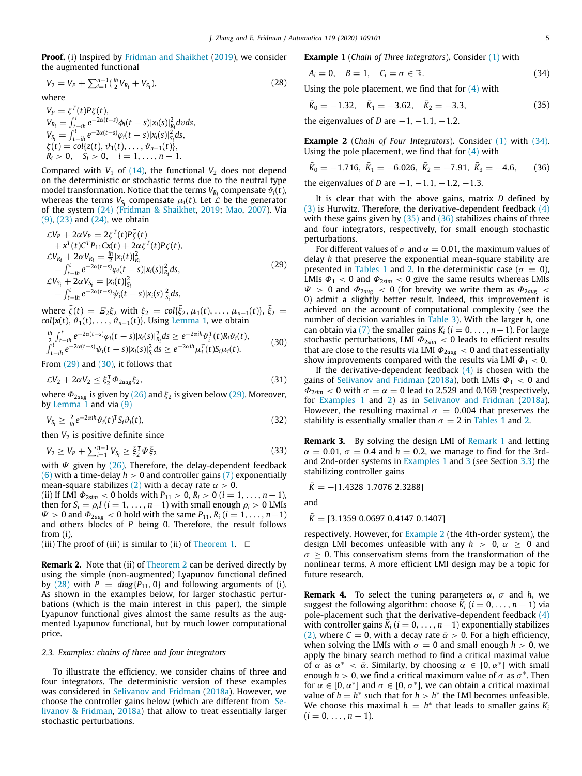**Proof.** (i) Inspired by [Fridman and Shaikhet](#page-7-6) [\(2019\)](#page-7-6), we consider the augmented functional

$$
V_2 = V_P + \sum_{i=1}^{n-1} (\frac{ih}{2} V_{R_i} + V_{S_i}),
$$
\n(28)

where

 $V_P = \zeta^T(t) P \zeta(t),$  $V_{R_i} = \int_{t_i - ih}^{t} e^{-2\alpha(t-s)} \phi_i(t-s) |x_i(s)|_{R_i}^2 dv ds,$  $V_{S_i} = \int_{t-ih}^t e^{-2\alpha(t-s)} \varphi_i(t-s) |x_i(s)|_{S_i}^2 ds,$  $\zeta(t) = \text{col}\{z(t), \vartheta_1(t), \dots, \vartheta_{n-1}(t)\},$  $R_i > 0$ ,  $S_i > 0$ ,  $i = 1, ..., n - 1$ .

Compared with  $V_1$  of [\(14\)](#page-2-10), the functional  $V_2$  does not depend on the deterministic or stochastic terms due to the neutral type model transformation. Notice that the terms  $V_{R_i}$  compensate  $\vartheta_i(t)$ , whereas the terms  $V_{S_i}$  compensate  $\mu_i(t)$ . Let  $\mathcal L$  be the generator of the system [\(24\)](#page-3-4) [\(Fridman & Shaikhet](#page-7-6), [2019;](#page-7-6) [Mao](#page-7-11), [2007\)](#page-7-11). Via ([9](#page-2-2)), [\(23\)](#page-3-5) and ([24](#page-3-4)), we obtain

$$
\mathcal{L}V_{P} + 2\alpha V_{P} = 2\zeta^{T}(t)P\bar{\zeta}(t) \n+ x^{T}(t)C^{T}P_{11}Cx(t) + 2\alpha\zeta^{T}(t)P\zeta(t), \n\mathcal{L}V_{R_{i}} + 2\alpha V_{R_{i}} = \frac{ib}{2}|x_{i}(t)|_{R_{i}}^{2} \n- \int_{t-ih}^{t} e^{-2\alpha(t-s)}\varphi_{i}(t-s)|x_{i}(s)|_{R_{i}}^{2}ds, \n\mathcal{L}V_{S_{i}} + 2\alpha V_{S_{i}} = |x_{i}(t)|_{S_{i}}^{2} \n- \int_{t-ih}^{t} e^{-2\alpha(t-s)}\psi_{i}(t-s)|x_{i}(s)|_{S_{i}}^{2}ds,
$$
\n(29)

where  $\bar{\zeta}(t) = \mathcal{Z}_2 \xi_2$  with  $\xi_2 = \text{col}\{\bar{\xi}_2, \mu_1(t), \ldots, \mu_{n-1}(t)\}, \bar{\xi}_2 =$ *col*{ $x(t)$ ,  $\vartheta_1(t)$ , ...,  $\vartheta_{n-1}(t)$ }. Using [Lemma](#page-1-6) [1,](#page-1-6) we obtain

$$
\frac{i\hbar}{2} \int_{t-ih}^{t} e^{-2\alpha(t-s)} \varphi_i(t-s) |x_i(s)|_{R_i}^2 ds \ge e^{-2\alpha i h} \vartheta_i^T(t) R_i \vartheta_i(t), \n\int_{t-ih}^{t} e^{-2\alpha(t-s)} \psi_i(t-s) |x_i(s)|_{S_i}^2 ds \ge e^{-2\alpha i h} \mu_i^T(t) S_i \mu_i(t).
$$
\n(30)

From  $(29)$  and  $(30)$  $(30)$  $(30)$ , it follows that

$$
\mathcal{L}V_2 + 2\alpha V_2 \le \xi_2^T \Phi_{2aug} \xi_2, \tag{31}
$$

where  $\Phi_{2aug}$  is given by [\(26\)](#page-3-3) and  $\xi_2$  is given below ([29](#page-4-1)). Moreover, by [Lemma](#page-1-6) [1](#page-1-6) and via [\(9](#page-2-2))

$$
V_{S_i} \geq \frac{2}{i\hbar} e^{-2\alpha i \hbar} \vartheta_i(t)^T S_i \vartheta_i(t), \tag{32}
$$

then  $V_2$  is positive definite since

$$
V_2 \ge V_P + \sum_{i=1}^{n-1} V_{S_i} \ge \bar{\xi}_2^T \Psi \bar{\xi}_2
$$
\n(33)

with  $\Psi$  given by ([26\)](#page-3-3). Therefore, the delay-dependent feedback ([6](#page-1-3)) with a time-delay  $h > 0$  and controller gains [\(7\)](#page-1-5) exponentially mean-square stabilizes ([2\)](#page-1-1) with a decay rate  $\alpha > 0$ .

(ii) If LMI  $\Phi_{2sim}$  < 0 holds with  $P_{11} > 0$ ,  $R_i > 0$  ( $i = 1, ..., n-1$ ), then for  $S_i = \rho_i I$  ( $i = 1, ..., n-1$ ) with small enough  $\rho_i > 0$  LMIs  $\Psi > 0$  and  $\Phi_{2\text{aug}} < 0$  hold with the same  $P_{11}$ ,  $R_i$  ( $i = 1, \ldots, n-1$ ) and others blocks of *P* being 0. Therefore, the result follows from (i).

(iii) The proof of (iii) is similar to (ii) of [Theorem](#page-2-9) [1](#page-2-9).  $\square$ 

**Remark [2](#page-3-6).** Note that (ii) of [Theorem](#page-3-6) 2 can be derived directly by using the simple (non-augmented) Lyapunov functional defined by ([28](#page-4-3)) with  $P = diag{P_{11}, 0}$  and following arguments of (i). As shown in the examples below, for larger stochastic perturbations (which is the main interest in this paper), the simple Lyapunov functional gives almost the same results as the augmented Lyapunov functional, but by much lower computational price.

#### *2.3. Examples: chains of three and four integrators*

<span id="page-4-7"></span>To illustrate the efficiency, we consider chains of three and four integrators. The deterministic version of these examples was considered in [Selivanov and Fridman](#page-7-9) [\(2018a\)](#page-7-9). However, we choose the controller gains below (which are different from [Se](#page-7-9)[livanov & Fridman](#page-7-9), [2018a](#page-7-9)) that allow to treat essentially larger stochastic perturbations.

**Example 1** (*Chain of Three Integrators*)**.** Consider ([1](#page-1-0)) with

<span id="page-4-4"></span>
$$
A_i = 0, \quad B = 1, \quad C_i = \sigma \in \mathbb{R}.\tag{34}
$$

<span id="page-4-3"></span>Using the pole placement, we find that for  $(4)$  $(4)$  with

<span id="page-4-5"></span>
$$
\bar{K}_0 = -1.32, \quad \bar{K}_1 = -3.62, \quad \bar{K}_2 = -3.3,\tag{35}
$$

the eigenvalues of *D* are  $-1$ ,  $-1.1$ ,  $-1.2$ .

<span id="page-4-8"></span>**Example 2** (*Chain of Four Integrators*)**.** Consider ([1](#page-1-0)) with ([34\)](#page-4-4). Using the pole placement, we find that for  $(4)$  $(4)$  with

<span id="page-4-6"></span>
$$
\bar{K}_0 = -1.716, \ \bar{K}_1 = -6.026, \ \bar{K}_2 = -7.91, \ \bar{K}_3 = -4.6,
$$
 (36)

the eigenvalues of *D* are  $-1$ ,  $-1.1$ ,  $-1.2$ ,  $-1.3$ .

It is clear that with the above gains, matrix *D* defined by ([3](#page-1-4)) is Hurwitz. Therefore, the derivative-dependent feedback  $(4)$  $(4)$ with these gains given by  $(35)$  and  $(36)$  $(36)$  $(36)$  stabilizes chains of three and four integrators, respectively, for small enough stochastic perturbations.

<span id="page-4-1"></span>For different values of  $\sigma$  and  $\alpha = 0.01$ , the maximum values of delay *h* that preserve the exponential mean-square stability are presented in [Tables](#page-5-2) [1](#page-5-2) and [2.](#page-5-3) In the deterministic case ( $\sigma = 0$ ), LMIs  $\Phi_1$  < 0 and  $\Phi_{2sim}$  < 0 give the same results whereas LMIs  $\Psi$  > 0 and  $\Phi_{2aug}$  < 0 (for brevity we write them as  $\Phi_{2aug}$  < 0) admit a slightly better result. Indeed, this improvement is achieved on the account of computational complexity (see the number of decision variables in [Table](#page-5-4) [3\)](#page-5-4). With the larger *h*, one can obtain via ([7](#page-1-5)) the smaller gains  $K_i$  ( $i = 0, \ldots, n-1$ ). For large stochastic perturbations, LMI  $\Phi_{2sim}$  < 0 leads to efficient results that are close to the results via LMI  $\Phi_{2aug} < 0$  and that essentially show improvements compared with the results via LMI  $\Phi_1$  < 0.

<span id="page-4-2"></span>If the derivative-dependent feedback  $(4)$  $(4)$  is chosen with the gains of [Selivanov and Fridman](#page-7-9) ([2018a](#page-7-9)), both LMIs  $\Phi_1 < 0$  and  $\Phi_{2sim}$  < 0 with  $\sigma = \alpha = 0$  lead to 2.529 and 0.169 (respectively, for [Examples](#page-4-7) [1](#page-4-7) and [2\)](#page-4-8) as in [Selivanov and Fridman](#page-7-9) [\(2018a\)](#page-7-9). However, the resulting maximal  $\sigma = 0.004$  that preserves the stability is essentially smaller than  $\sigma = 2$  in [Tables](#page-5-2) [1](#page-5-2) and [2.](#page-5-3)

<span id="page-4-0"></span>**Remark 3.** By solving the design LMI of [Remark](#page-3-7) [1](#page-3-7) and letting  $\alpha = 0.01$ ,  $\sigma = 0.4$  and  $h = 0.2$ , we manage to find for the 3rdand 2nd-order systems in [Examples](#page-4-7) [1](#page-4-7) and [3](#page-7-16) (see Section [3.3](#page-7-16)) the stabilizing controller gains

$$
\bar{K} = -[1.4328 \; 1.7076 \; 2.3288]
$$

and

$$
\bar{K} = [3.1359\ 0.0697\ 0.4147\ 0.1407]
$$

respectively. However, for [Example](#page-4-8) [2](#page-4-8) (the 4th-order system), the design LMI becomes unfeasible with any  $h > 0$ ,  $\alpha \ge 0$  and  $\sigma \geq 0$ . This conservatism stems from the transformation of the nonlinear terms. A more efficient LMI design may be a topic for future research.

**Remark 4.** To select the tuning parameters  $\alpha$ ,  $\sigma$  and *h*, we suggest the following algorithm: choose  $\overline{K}_i$  ( $i = 0, \ldots, n - 1$ ) via pole-placement such that the derivative-dependent feedback  $(4)$  $(4)$ with controller gains  $\overline{K}_i$  ( $i = 0, \ldots, n-1$ ) exponentially stabilizes ([2](#page-1-1)), where  $C = 0$ , with a decay rate  $\bar{\alpha} > 0$ . For a high efficiency, when solving the LMIs with  $\sigma = 0$  and small enough  $h > 0$ , we apply the binary search method to find a critical maximal value of  $\alpha$  as  $\alpha^* < \overline{\alpha}$ . Similarly, by choosing  $\alpha \in [0, \alpha^*]$  with small enough  $h > 0$ , we find a critical maximum value of  $\sigma$  as  $\sigma^*$ . Then for  $\alpha \in [0, \alpha^*]$  and  $\sigma \in [0, \sigma^*]$ , we can obtain a critical maximal value of  $h = h^*$  such that for  $h > h^*$  the LMI becomes unfeasible. We choose this maximal  $h = h^*$  that leads to smaller gains  $K_i$  $(i = 0, \ldots, n - 1).$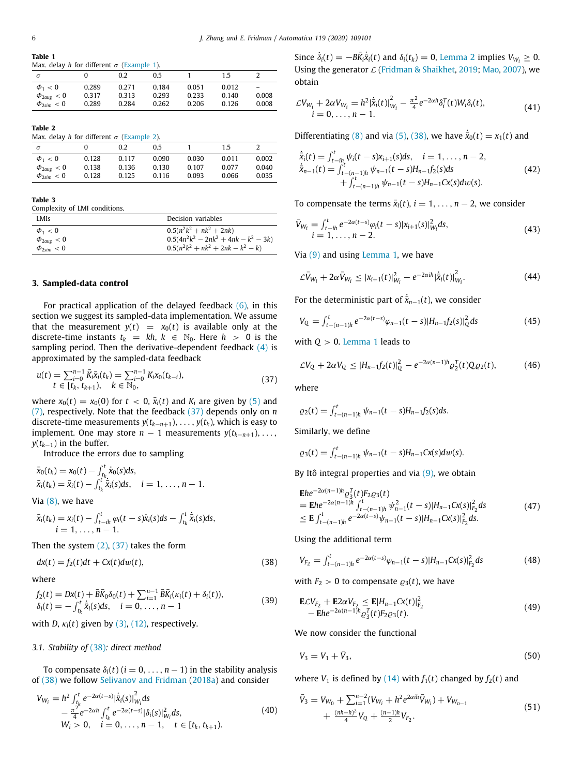<span id="page-5-2"></span>**Table 1** Max. delay *h* for different  $\sigma$  [\(Example](#page-4-7) [1](#page-4-7)).

| $\sigma$                 |       | 0.2   | 0.5   |       | 1.5   |                          |
|--------------------------|-------|-------|-------|-------|-------|--------------------------|
| $\Phi_1 < 0$             | 0.289 | 0.271 | 0.184 | 0.051 | 0.012 | $\overline{\phantom{0}}$ |
| $\Phi_{2aug} < 0$        | 0.317 | 0.313 | 0.293 | 0.233 | 0.140 | 0.008                    |
| $\Phi_{2\text{sim}} < 0$ | 0.289 | 0.284 | 0.262 | 0.206 | 0.126 | 0.008                    |

**Table 2**

<span id="page-5-3"></span>Max. delay *h* for different  $\sigma$  [\(Example](#page-4-8) [2](#page-4-8)).

| $\sigma$                 |       | 0.2   | 0.5   |       | 1.5   |       |
|--------------------------|-------|-------|-------|-------|-------|-------|
| $\Phi_1 < 0$             | 0.128 | 0.117 | 0.090 | 0.030 | 0.011 | 0.002 |
| $\Phi_{2aug} < 0$        | 0.138 | 0.136 | 0.130 | 0.107 | 0.077 | 0.040 |
| $\Phi_{2\text{sim}} < 0$ | 0.128 | 0.125 | 0.116 | 0.093 | 0.066 | 0.035 |
|                          |       |       |       |       |       |       |

#### **Table 3**

<span id="page-5-4"></span>Complexity of LMI conditions.

| LMI <sub>S</sub>         | Decision variables                      |
|--------------------------|-----------------------------------------|
| $\Phi_1 < 0$             | $0.5(n^2k^2 + nk^2 + 2nk)$              |
| $\Phi_{2aue}$ < 0        | $0.5(4n^2k^2 - 2nk^2 + 4nk - k^2 - 3k)$ |
| $\Phi_{2\text{sim}} < 0$ | $0.5(n^2k^2 + nk^2 + 2nk - k^2 - k)$    |

### **3. Sampled-data control**

<span id="page-5-0"></span>For practical application of the delayed feedback  $(6)$  $(6)$ , in this section we suggest its sampled-data implementation. We assume that the measurement  $y(t) = x_0(t)$  is available only at the discrete-time instants  $t_k = kh$ ,  $k \in \mathbb{N}_0$ . Here  $h > 0$  is the sampling period. Then the derivative-dependent feedback  $(4)$  $(4)$  is approximated by the sampled-data feedback

$$
u(t) = \sum_{i=0}^{n-1} \bar{K}_i \bar{x}_i(t_k) = \sum_{i=0}^{n-1} K_i x_0(t_{k-i}),
$$
  
\n $t \in [t_k, t_{k+1}), \quad k \in \mathbb{N}_0,$  (37)

where  $x_0(t) = x_0(0)$  for  $t < 0$ ,  $\bar{x}_i(t)$  and  $K_i$  are given by [\(5](#page-1-7)) and ([7\)](#page-1-5), respectively. Note that the feedback [\(37\)](#page-5-5) depends only on *n* discrete-time measurements *y*(*tk*−*n*+1), . . . , *y*(*tk*), which is easy to implement. One may store  $n-1$  measurements  $y(t_{k-n+1}), \ldots,$ *y*( $t_{k-1}$ ) in the buffer.

Introduce the errors due to sampling

$$
\bar{x}_0(t_k) = x_0(t) - \int_{t_k}^t \dot{x}_0(s)ds,\n\bar{x}_i(t_k) = \bar{x}_i(t) - \int_{t_k}^t \dot{\bar{x}}_i(s)ds, \quad i = 1, ..., n-1.
$$

Via ([8\)](#page-2-0), we have

$$
\bar{x}_i(t_k) = x_i(t) - \int_{t-in}^t \varphi_i(t-s)\dot{x}_i(s)ds - \int_{t_k}^t \dot{\bar{x}}_i(s)ds, \n i = 1, ..., n - 1.
$$

Then the system  $(2)$  $(2)$  $(2)$ ,  $(37)$  takes the form

$$
dx(t) = f_2(t)dt + Cx(t)dw(t),
$$
\n(38)

where

$$
f_2(t) = Dx(t) + \bar{B}\bar{K}_0\delta_0(t) + \sum_{i=1}^{n-1} \bar{B}\bar{K}_i(\kappa_i(t) + \delta_i(t)),
$$
  
\n
$$
\delta_i(t) = -\int_{t_k}^t \dot{\bar{x}}_i(s)ds, \quad i = 0, \dots, n-1
$$
\n(39)

with *D*,  $\kappa_i(t)$  given by ([3\)](#page-1-4), [\(12\)](#page-2-3), respectively.

#### *3.1. Stability of* ([38](#page-5-6))*: direct method*

To compensate  $\delta_i(t)$  ( $i = 0, \ldots, n-1$ ) in the stability analysis of ([38\)](#page-5-6) we follow [Selivanov and Fridman](#page-7-9) ([2018a](#page-7-9)) and consider

$$
V_{W_i} = h^2 \int_{t_k}^t e^{-2\alpha(t-s)} |\dot{\bar{x}}_i(s)|_{W_i}^2 ds
$$
  
\n
$$
- \frac{\pi^2}{4} e^{-2\alpha h} \int_{t_k}^t e^{-2\alpha(t-s)} |\delta_i(s)|_{W_i}^2 ds,
$$
  
\n
$$
W_i > 0, \quad i = 0, ..., n-1, \quad t \in [t_k, t_{k+1}).
$$
\n(40)

Since  $\dot{\delta}_i(t) = -B\overline{K}_i\dot{\overline{\mathbf{x}}}_i(t)$  and  $\delta_i(t_k) = 0$ , [Lemma](#page-1-8) [2](#page-1-8) implies  $V_{W_i} \geq 0$ . Using the generator  $\mathcal{L}$  [\(Fridman & Shaikhet,](#page-7-6) [2019](#page-7-6); [Mao,](#page-7-11) [2007](#page-7-11)), we obtain

$$
\mathcal{L}V_{W_i} + 2\alpha V_{W_i} = h^2 |\dot{\bar{x}}_i(t)|_{W_i}^2 - \frac{\pi^2}{4} e^{-2\alpha h} \delta_i^T(t) W_i \delta_i(t),
$$
  
\n $i = 0, \dots, n-1.$  (41)

Differentiating ([8](#page-2-0)) and via [\(5](#page-1-7)), ([38\)](#page-5-6), we have  $\dot{\bar{x}}_0(t) = x_1(t)$  and

$$
\dot{\bar{x}}_i(t) = \int_{t-in}^t \psi_i(t - s)x_{i+1}(s)ds, \quad i = 1, ..., n-2,\n\dot{\bar{x}}_{n-1}(t) = \int_{t-(n-1)h}^t \psi_{n-1}(t - s)H_{n-1}f_2(s)ds\n+ \int_{t-(n-1)h}^t \psi_{n-1}(t - s)H_{n-1}cx(s)dw(s).
$$
\n(42)

To compensate the terms  $\bar{x}_i(t)$ ,  $i = 1, \ldots, n-2$ , we consider

$$
\bar{V}_{W_i} = \int_{t-ih}^{t} e^{-2\alpha(t-s)} \varphi_i(t-s) |x_{i+1}(s)|_{W_i}^2 ds,
$$
\n(43)

Via ([9\)](#page-2-2) and using [Lemma](#page-1-6) [1,](#page-1-6) we have

$$
\mathcal{L}\bar{V}_{W_i} + 2\alpha \bar{V}_{W_i} \le |x_{i+1}(t)|_{W_i}^2 - e^{-2\alpha i h} |\dot{\bar{x}}_i(t)|_{W_i}^2.
$$
 (44)

For the deterministic part of  $\dot{\bar{x}}_{n-1}(t)$ , we consider

$$
V_Q = \int_{t-(n-1)h}^t e^{-2\alpha(t-s)} \varphi_{n-1}(t-s) |H_{n-1}f_2(s)|_Q^2 ds \tag{45}
$$

with *Q* > 0. [Lemma](#page-1-6) [1](#page-1-6) leads to

<span id="page-5-11"></span>
$$
\mathcal{L}V_{Q} + 2\alpha V_{Q} \leq |H_{n-1}f_{2}(t)|_{Q}^{2} - e^{-2\alpha(n-1)h} \varrho_{2}^{T}(t) Q \varrho_{2}(t), \tag{46}
$$

<span id="page-5-5"></span>where

$$
\varrho_2(t) = \int_{t-(n-1)h}^t \psi_{n-1}(t-s)H_{n-1}f_2(s)ds.
$$

Similarly, we define

$$
\varrho_3(t) = \int_{t-(n-1)h}^t \psi_{n-1}(t-s)H_{n-1}Cx(s)dw(s).
$$

By Itô integral properties and via  $(9)$  $(9)$ , we obtain

<span id="page-5-1"></span>
$$
\mathbf{E}he^{-2\alpha(n-1)h}\varrho_3^T(t)F_2\varrho_3(t)
$$
\n
$$
= \mathbf{E}he^{-2\alpha(n-1)h}\int_{t-(n-1)h}^{t}\psi_{n-1}^2(t-s)|H_{n-1}Cx(s)|_{F_2}^2ds
$$
\n
$$
\leq \mathbf{E}\int_{t-(n-1)h}^{t}e^{-2\alpha(t-s)}\psi_{n-1}(t-s)|H_{n-1}Cx(s)|_{F_2}^2ds.
$$
\n(47)

Using the additional term

<span id="page-5-6"></span>
$$
V_{F_2} = \int_{t-(n-1)h}^{t} e^{-2\alpha(t-s)} \varphi_{n-1}(t-s) |H_{n-1}Cx(s)|_{F_2}^2 ds \tag{48}
$$

with  $F_2 > 0$  to compensate  $\rho_3(t)$ , we have

<span id="page-5-9"></span><span id="page-5-8"></span>
$$
\begin{aligned} \mathbf{E} \mathcal{L} V_{F_2} + \mathbf{E} 2 \alpha V_{F_2} &\leq \mathbf{E} |H_{n-1} \mathbf{C} x(t)|_{F_2}^2 \\ &- \mathbf{E} h e^{-2\alpha(n-1)h} \varrho_3^T(t) F_2 \varrho_3(t). \end{aligned} \tag{49}
$$

We now consider the functional

$$
V_3 = V_1 + \bar{V}_3,\tag{50}
$$

where  $V_1$  is defined by [\(14\)](#page-2-10) with  $f_1(t)$  changed by  $f_2(t)$  and

<span id="page-5-10"></span><span id="page-5-7"></span>
$$
\bar{V}_3 = V_{W_0} + \sum_{i=1}^{n-2} (V_{W_i} + h^2 e^{2\alpha i h} \bar{V}_{W_i}) + V_{W_{n-1}} + \frac{(nh-h)^2}{4} V_Q + \frac{(n-1)h}{2} V_{F_2}.
$$
\n(51)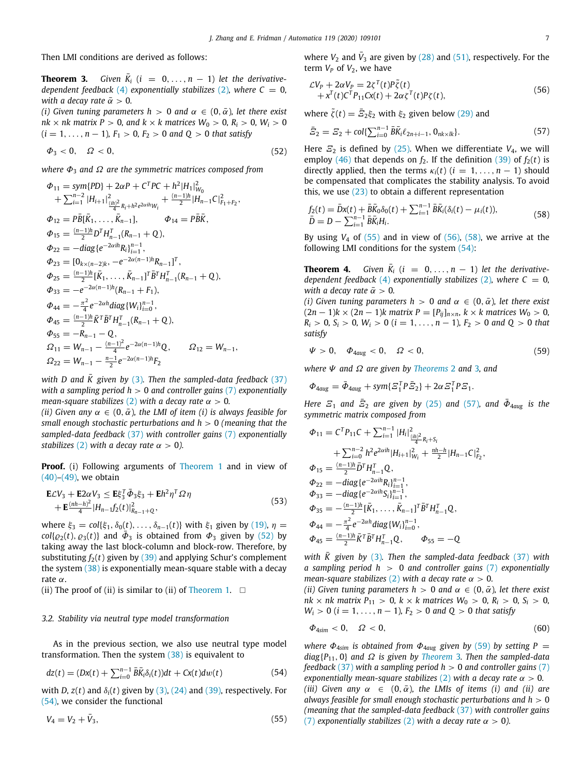Then LMI conditions are derived as follows:

**Theorem 3.** *Given*  $\bar{K}_i$  ( $i = 0, ..., n - 1$ ) *let the derivativedependent feedback* ([4](#page-1-2)) *exponentially stabilizes* [\(2](#page-1-1)), where  $C = 0$ , *with a decay rate*  $\bar{\alpha} > 0$ .

*(i) Given tuning parameters h > 0 and*  $\alpha \in (0, \bar{\alpha})$ *, let there exist*  $nk \times nk$  *matrix*  $P > 0$ *, and*  $k \times k$  *matrices*  $W_0 > 0$ *,*  $R_i > 0$ *,*  $W_i > 0$  $(i = 1, \ldots, n - 1)$ ,  $F_1 > 0$ ,  $F_2 > 0$  and  $Q > 0$  that satisfy

$$
\Phi_3<0,\quad \Omega<0,\qquad \qquad (52)
$$

*where*  $Φ_3$  *and*  $Ω$  *are the symmetric matrices composed from* 

$$
\Phi_{11} = sym\{PD\} + 2\alpha P + C^T PC + h^2 |H_1|^2_{W_0}
$$
\n
$$
+ \sum_{i=1}^{n-2} |H_{i+1}|^2_{\frac{(ih)^2}{4}R_i + h^2 e^{2\alpha ih}W_i} + \frac{(n-1)h}{2} |H_{n-1}C|^2_{F_1 + F_2},
$$
\n
$$
\Phi_{12} = P\bar{B}[\bar{K}_1, \dots, \bar{K}_{n-1}], \qquad \Phi_{14} = P\bar{B}\bar{K},
$$
\n
$$
\Phi_{15} = \frac{(n-1)h}{2} D^T H_{n-1}^T (R_{n-1} + Q),
$$
\n
$$
\Phi_{22} = -diag\{e^{-2\alpha ih}R_i\}_{i=1}^{n-1},
$$
\n
$$
\Phi_{23} = [0_{k \times (n-2)k}, -e^{-2\alpha (n-1)h}R_{n-1}]^T,
$$
\n
$$
\Phi_{25} = \frac{(n-1)h}{2} [\bar{K}_1, \dots, \bar{K}_{n-1}]^T \bar{B}^T H_{n-1}^T (R_{n-1} + Q),
$$
\n
$$
\Phi_{33} = -e^{-2\alpha (n-1)h} (R_{n-1} + F_1),
$$
\n
$$
\Phi_{44} = -\frac{\pi^2}{4} e^{-2\alpha h} diag\{W_i\}_{i=0}^{n-1},
$$
\n
$$
\Phi_{45} = \frac{(n-1)h}{2} \bar{K}^T \bar{B}^T H_{n-1}^T (R_{n-1} + Q),
$$
\n
$$
\Phi_{55} = -R_{n-1} - Q,
$$
\n
$$
\Omega_{11} = W_{n-1} - \frac{(n-1)^2}{4} e^{-2\alpha (n-1)h} Q, \qquad \Omega_{12} = W_{n-1},
$$
\n
$$
\Omega_{22} = W_{n-1} - \frac{n-1}{2} e^{-2\alpha (n-1)h} F_2
$$

*with D* and  $\bar{K}$  given by [\(3](#page-1-4)). Then the sampled-data feedback ([37\)](#page-5-5) *with a sampling period h* > 0 *and controller gains* ([7\)](#page-1-5) *exponentially mean-square stabilizes* [\(2](#page-1-1)) *with a decay rate*  $\alpha > 0$ *.* 

*(ii) Given any*  $\alpha \in (0, \bar{\alpha})$ *, the LMI of item (i) is always feasible for small enough stochastic perturbations and h* > 0 *(meaning that the sampled-data feedback* ([37\)](#page-5-5) *with controller gains* [\(7](#page-1-5)) *exponentially stabilizes* ([2](#page-1-1)) *with a decay rate*  $\alpha > 0$ *).* 

**Proof.** (i) Following arguments of [Theorem](#page-2-9) [1](#page-2-9) and in view of ([40](#page-5-7))–[\(49\)](#page-5-8), we obtain

$$
\mathbf{E}\mathcal{L}V_{3} + \mathbf{E}2\alpha V_{3} \le \mathbf{E}\xi_{3}^{T}\bar{\Phi}_{3}\xi_{3} + \mathbf{E}h^{2}\eta^{T}\Omega\eta \n+ \mathbf{E}\frac{(nh-h)^{2}}{4}|H_{n-1}f_{2}(t)|_{R_{n-1}+Q}^{2},
$$
\n(53)

where  $\xi_3 = \text{col}\{\xi_1, \delta_0(t), \dots, \delta_{n-1}(t)\}\$  with  $\xi_1$  given by [\(19](#page-2-7)),  $\eta =$  $col\{\varrho_2(t), \varrho_3(t)\}\$  and  $\bar{\varPhi}_3$  is obtained from  $\varPhi_3$  given by [\(52\)](#page-6-0) by taking away the last block-column and block-row. Therefore, by substituting  $f_2(t)$  given by ([39](#page-5-9)) and applying Schur's complement the system ([38](#page-5-6)) is exponentially mean-square stable with a decay rate α.

(ii) The proof of (ii) is similar to (ii) of [Theorem](#page-2-9) [1](#page-2-9).  $\square$ 

## *3.2. Stability via neutral type model transformation*

As in the previous section, we also use neutral type model transformation. Then the system ([38](#page-5-6)) is equivalent to

$$
dz(t) = (Dx(t) + \sum_{i=0}^{n-1} \bar{B}\bar{K}_i \delta_i(t))dt + Cx(t)dw(t)
$$
\n(54)

with *D*,  $z(t)$  and  $\delta_i(t)$  given by [\(3\)](#page-1-4), [\(24](#page-3-4)) and [\(39](#page-5-9)), respectively. For ([54](#page-6-1)), we consider the functional

$$
V_4 = V_2 + \bar{V}_3, \tag{55}
$$

<span id="page-6-5"></span>where  $V_2$  and  $\bar{V}_3$  are given by ([28](#page-4-3)) and [\(51\)](#page-5-10), respectively. For the term  $V_P$  of  $V_2$ , we have

<span id="page-6-3"></span>
$$
\mathcal{L}V_P + 2\alpha V_P = 2\zeta^T(t)P\tilde{\zeta}(t) + x^T(t)C^TP_{11}Cx(t) + 2\alpha\zeta^T(t)P\zeta(t),
$$
\n(56)

where  $\tilde{\zeta}(t) = \bar{\tilde{\zeta}}_2 \xi_2$  with  $\xi_2$  given below ([29](#page-4-1)) and

<span id="page-6-6"></span>
$$
\bar{E}_2 = E_2 + \text{col}\{\sum_{i=0}^{n-1} \bar{B}\bar{K}_i \ell_{2n+i-1}, \mathbf{0}_{nk \times lk}\}.
$$
 (57)

<span id="page-6-0"></span>Here  $\mathcal{Z}_2$  is defined by ([25](#page-3-2)). When we differentiate  $V_4$ , we will employ ([46](#page-5-11)) that depends on  $f_2$ . If the definition [\(39\)](#page-5-9) of  $f_2(t)$  is directly applied, then the terms  $\kappa_i(t)$  ( $i = 1, \ldots, n-1$ ) should be compensated that complicates the stability analysis. To avoid this, we use  $(23)$  $(23)$  $(23)$  to obtain a different representation

<span id="page-6-4"></span>
$$
f_2(t) = \bar{D}x(t) + \bar{B}\bar{K}_0\delta_0(t) + \sum_{i=1}^{n-1} \bar{B}\bar{K}_i(\delta_i(t) - \mu_i(t)),
$$
  
\n
$$
\bar{D} = D - \sum_{i=1}^{n-1} \bar{B}\bar{K}_iH_i.
$$
\n(58)

By using  $V_4$  of  $(55)$  and in view of  $(56)$  $(56)$ ,  $(58)$ , we arrive at the following LMI conditions for the system [\(54\)](#page-6-1):

**Theorem 4.** *Given*  $\overline{K}_i$  ( $i = 0, ..., n - 1$ ) *let the derivativedependent feedback* ([4](#page-1-2)) *exponentially stabilizes* [\(2](#page-1-1)), where  $C = 0$ , *with a decay rate*  $\bar{\alpha} > 0$ *.* 

*(i) Given tuning parameters h > 0 and*  $\alpha \in (0, \bar{\alpha})$ *, let there exist*  $(2n - 1)$ *k* ×  $(2n − 1)$ *k* matrix *P* =  $[P_{ij}]_{n \times n}$ *, k* × *k* matrices  $W_0 > 0$ *,*  $R_i > 0$ ,  $S_i > 0$ ,  $W_i > 0$  ( $i = 1, ..., n - 1$ ),  $F_2 > 0$  *and*  $Q > 0$  *that satisfy*

<span id="page-6-7"></span>
$$
\Psi > 0, \quad \Phi_{4aug} < 0, \quad \Omega < 0,
$$
\n
$$
(59)
$$

*where* Ψ *and* Ω *are given by [Theorems](#page-3-6)* [2](#page-3-6) *and* [3](#page-6-5)*, and*

 $\Phi_{4aug} = \bar{\Phi}_{4aug} + sym\{\Xi_1^T P \bar{\Xi}_2\} + 2\alpha \Xi_1^T P \Xi_1.$ 

*Here*  $\mathcal{Z}_1$  *and*  $\bar{\mathcal{Z}}_2$  *are given by* [\(25\)](#page-3-2) *and* ([57](#page-6-6))*, and*  $\bar{\Phi}_{4\text{aug}}$  *is the symmetric matrix composed from*

$$
\Phi_{11} = C^T P_{11} C + \sum_{i=1}^{n-1} |H_i|_{\frac{\left(\frac{1}{n})^2}{4} R_i + S_i}
$$
  
+ 
$$
\sum_{i=0}^{n-2} h^2 e^{2\alpha i h} |H_{i+1}|_{W_i}^2 + \frac{nh-h}{2} |H_{n-1} C|_{F_2}^2,
$$
  

$$
\Phi_{15} = \frac{(n-1)h}{2} \bar{D}^T H_{n-1}^T Q,
$$
  

$$
\Phi_{22} = -diag\{e^{-2\alpha i h} R_i\}_{i=1}^{n-1},
$$
  

$$
\Phi_{33} = -diag\{e^{-2\alpha i h} S_i\}_{i=1}^{n-1},
$$
  

$$
\Phi_{35} = -\frac{(n-1)h}{2} [\bar{K}_1, \dots, \bar{K}_{n-1}]^T \bar{B}^T H_{n-1}^T Q,
$$
  

$$
\Phi_{44} = -\frac{\pi^2}{4} e^{-2\alpha h} diag\{W_i\}_{i=0}^{n-1},
$$
  

$$
\Phi_{45} = \frac{(n-1)h}{2} \bar{K}^T \bar{B}^T H_{n-1}^T Q,
$$
 
$$
\Phi_{55} = -Q
$$

*with*  $\bar{K}$  given by [\(3\)](#page-1-4). Then the sampled-data feedback ([37\)](#page-5-5) with *a sampling period h* > 0 *and controller gains* [\(7](#page-1-5)) *exponentially mean-square stabilizes* [\(2](#page-1-1)) *with a decay rate*  $\alpha > 0$ *.* 

*(ii)* Given tuning parameters  $h > 0$  and  $\alpha \in (0, \bar{\alpha})$ , let there exist  $nk \times nk$  *matrix*  $P_{11} > 0$ ,  $k \times k$  *matrices*  $W_0 > 0$ ,  $R_i > 0$ ,  $S_i > 0$ ,  $W_i > 0$  (*i* = 1, ..., *n* − 1)*,*  $F_2 > 0$  *and*  $Q > 0$  *that satisfy* 

$$
\varPhi_{4\text{sim}} < 0, \quad \Omega < 0,\tag{60}
$$

<span id="page-6-2"></span><span id="page-6-1"></span>*where*  $\Phi_{4\text{sim}}$  *is obtained from*  $\Phi_{4\text{aug}}$  *given by* [\(59\)](#page-6-7) *by setting*  $P =$ *diag*{*P*11, 0} *and* Ω *is given by [Theorem](#page-6-5)* [3](#page-6-5)*. Then the sampled-data feedback* [\(37\)](#page-5-5) *with a sampling period h* > 0 *and controller gains* ([7\)](#page-1-5) *exponentially mean-square stabilizes* [\(2](#page-1-1)) *with a decay rate*  $\alpha > 0$ *. (iii)* Given any  $\alpha \in (0, \bar{\alpha})$ , the LMIs of items *(i)* and *(ii)* are *always feasible for small enough stochastic perturbations and h* > 0 *(meaning that the sampled-data feedback* ([37\)](#page-5-5) *with controller gains* ([7](#page-1-5)) *exponentially stabilizes* [\(2](#page-1-1)) *with a decay rate*  $\alpha > 0$ *).*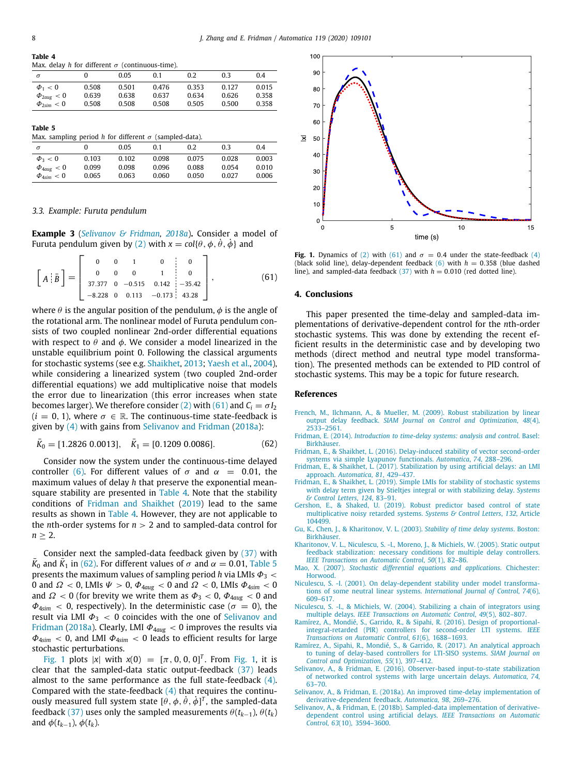#### <span id="page-7-18"></span>**Table 4** Max. delay *h* for different  $\sigma$  (continuous-time).

|       | 0.05  | 0.1   | 0.2   | 0.3   | 0.4   |
|-------|-------|-------|-------|-------|-------|
| 0.508 | 0.501 | 0.476 | 0.353 | 0.127 | 0.015 |
| 0.639 | 0.638 | 0.637 | 0.634 | 0.626 | 0.358 |
| 0.508 | 0.508 | 0.508 | 0.505 | 0.500 | 0.358 |
|       |       |       |       |       |       |

#### **Table 5**

<span id="page-7-20"></span>Max. sampling period *h* for different  $\sigma$  (sampled-data).

|                          | .     |       |       |       |       |       |
|--------------------------|-------|-------|-------|-------|-------|-------|
| $\sigma$                 |       | 0.05  | 0.1   | 0.2   | 0.3   | 0.4   |
| $\Phi_3 < 0$             | 0.103 | 0.102 | 0.098 | 0.075 | 0.028 | 0.003 |
| $\Phi_{4aug} < 0$        | 0.099 | 0.098 | 0.096 | 0.088 | 0.054 | 0.010 |
| $\Phi_{4\text{sim}} < 0$ | 0.065 | 0.063 | 0.060 | 0.050 | 0.027 | 0.006 |

#### *3.3. Example: Furuta pendulum*

<span id="page-7-16"></span>**Example 3** (*[Selivanov & Fridman,](#page-7-9) [2018a](#page-7-9)*)**.** Consider a model of Furuta pendulum given by [\(2](#page-1-1)) with  $x = \text{col}\{\theta, \phi, \dot{\theta}, \dot{\phi}\}$  and

$$
\left[A\left|\bar{B}\right.\right] = \left[\begin{array}{cccccc} 0 & 0 & 1 & 0 & 0 \\ 0 & 0 & 0 & 1 & 0 \\ 37.377 & 0 & -0.515 & 0.142 & -35.42 \\ -8.228 & 0 & 0.113 & -0.173 & 43.28 \end{array}\right],\tag{61}
$$

where  $\theta$  is the angular position of the pendulum,  $\phi$  is the angle of the rotational arm. The nonlinear model of Furuta pendulum consists of two coupled nonlinear 2nd-order differential equations with respect to  $\theta$  and  $\phi$ . We consider a model linearized in the unstable equilibrium point 0. Following the classical arguments for stochastic systems (see e.g. [Shaikhet](#page-8-2), [2013;](#page-8-2) [Yaesh et al.,](#page-8-3) [2004\)](#page-8-3), while considering a linearized system (two coupled 2nd-order differential equations) we add multiplicative noise that models the error due to linearization (this error increases when state becomes larger). We therefore consider [\(2\)](#page-1-1) with ([61](#page-7-17)) and  $C_i = \sigma I_2$  $(i = 0, 1)$ , where  $\sigma \in \mathbb{R}$ . The continuous-time state-feedback is given by ([4](#page-1-2)) with gains from [Selivanov and Fridman](#page-7-9) ([2018a](#page-7-9)):

$$
\bar{K}_0 = [1.2826 \ 0.0013], \quad \bar{K}_1 = [0.1209 \ 0.0086]. \tag{62}
$$

Consider now the system under the continuous-time delayed controller [\(6\)](#page-1-3). For different values of  $\sigma$  and  $\alpha$  = 0.01, the maximum values of delay *h* that preserve the exponential meansquare stability are presented in [Table](#page-7-18) [4.](#page-7-18) Note that the stability conditions of [Fridman and Shaikhet](#page-7-6) [\(2019\)](#page-7-6) lead to the same results as shown in [Table](#page-7-18) [4](#page-7-18). However, they are not applicable to the *n*th-order systems for *n* > 2 and to sampled-data control for  $n > 2$ .

Consider next the sampled-data feedback given by [\(37\)](#page-5-5) with  $\bar{K}_0$  and  $\bar{K}_1$  in ([62](#page-7-19)). For different values of  $\sigma$  and  $\alpha = 0.01$ , [Table](#page-7-20) [5](#page-7-20) presents the maximum values of sampling period *h* via LMIs  $\Phi_3$  < 0 and  $\Omega$  < 0, LMIs  $\Psi$  > 0,  $\Phi_{4aug}$  < 0 and  $\Omega$  < 0, LMIs  $\Phi_{4sim}$  < 0 and  $\Omega$  < 0 (for brevity we write them as  $\Phi_3$  < 0,  $\Phi_{4aug}$  < 0 and  $\Phi_{4\text{sim}}$  < 0, respectively). In the deterministic case ( $\sigma = 0$ ), the result via LMI  $\Phi_3$  < 0 coincides with the one of [Selivanov and](#page-7-9) [Fridman](#page-7-9) [\(2018a\)](#page-7-9). Clearly, LMI  $\Phi_{4aug} < 0$  improves the results via Φ4*sim* < 0, and LMI Φ4*sim* < 0 leads to efficient results for large stochastic perturbations.

[Fig.](#page-7-21) [1](#page-7-21) plots |*x*| with *x*(0) =  $[\pi, 0, 0, 0]^T$ . From Fig. [1,](#page-7-21) it is clear that the sampled-data static output-feedback ([37](#page-5-5)) leads almost to the same performance as the full state-feedback ([4\)](#page-1-2). Compared with the state-feedback  $(4)$  $(4)$  $(4)$  that requires the continuously measured full system state  $[\hat{\theta}, \hat{\phi}, \dot{\theta}, \dot{\phi}]^T$ , the sampled-data feedback [\(37](#page-5-5)) uses only the sampled measurements  $\theta(t_{k-1}), \theta(t_k)$ and  $\phi(t_{k-1}), \phi(t_k)$ .



<span id="page-7-21"></span>**Fig. 1.** Dynamics of [\(2](#page-1-1)) with [\(61\)](#page-7-17) and  $\sigma = 0.4$  under the state-feedback [\(4](#page-1-2)) (black solid line), delay-dependent feedback  $(6)$  $(6)$  with  $h = 0.358$  (blue dashed line), and sampled-data feedback  $(37)$  with  $h = 0.010$  (red dotted line).

#### <span id="page-7-17"></span>**4. Conclusions**

This paper presented the time-delay and sampled-data implementations of derivative-dependent control for the *n*th-order stochastic systems. This was done by extending the recent efficient results in the deterministic case and by developing two methods (direct method and neutral type model transformation). The presented methods can be extended to PID control of stochastic systems. This may be a topic for future research.

#### **References**

- <span id="page-7-14"></span>[French, M., Ilchmann, A., & Mueller, M. \(2009\). Robust stabilization by linear](http://refhub.elsevier.com/S0005-1098(20)30299-5/sb1) output delay feedback. *[SIAM Journal on Control and Optimization](http://refhub.elsevier.com/S0005-1098(20)30299-5/sb1)*, *48*(4), [2533–2561.](http://refhub.elsevier.com/S0005-1098(20)30299-5/sb1)
- <span id="page-7-19"></span><span id="page-7-12"></span>Fridman, E. (2014). *[Introduction to time-delay systems: analysis and control](http://refhub.elsevier.com/S0005-1098(20)30299-5/sb2)*. Basel: [Birkhäuser.](http://refhub.elsevier.com/S0005-1098(20)30299-5/sb2)
- <span id="page-7-5"></span>[Fridman, E., & Shaikhet, L. \(2016\). Delay-induced stability of vector second-order](http://refhub.elsevier.com/S0005-1098(20)30299-5/sb3) [systems via simple Lyapunov functionals.](http://refhub.elsevier.com/S0005-1098(20)30299-5/sb3) *Automatica*, *74*, 288–296.
- <span id="page-7-7"></span>[Fridman, E., & Shaikhet, L. \(2017\). Stabilization by using artificial delays: an LMI](http://refhub.elsevier.com/S0005-1098(20)30299-5/sb4) approach. *[Automatica](http://refhub.elsevier.com/S0005-1098(20)30299-5/sb4)*, *81*, 429–437.
- <span id="page-7-6"></span>[Fridman, E., & Shaikhet, L. \(2019\). Simple LMIs for stability of stochastic systems](http://refhub.elsevier.com/S0005-1098(20)30299-5/sb5) [with delay term given by Stieltjes integral or with stabilizing delay.](http://refhub.elsevier.com/S0005-1098(20)30299-5/sb5) *Systems [& Control Letters](http://refhub.elsevier.com/S0005-1098(20)30299-5/sb5)*, *124*, 83–91.
- <span id="page-7-10"></span>[Gershon, E., & Shaked, U. \(2019\). Robust predictor based control of state](http://refhub.elsevier.com/S0005-1098(20)30299-5/sb6) [multiplicative noisy retarded systems.](http://refhub.elsevier.com/S0005-1098(20)30299-5/sb6) *Systems & Control Letters*, *132*, Article [104499.](http://refhub.elsevier.com/S0005-1098(20)30299-5/sb6)
- <span id="page-7-4"></span>[Gu, K., Chen, J., & Kharitonov, V. L. \(2003\).](http://refhub.elsevier.com/S0005-1098(20)30299-5/sb7) *Stability of time delay systems*. Boston: **Birkhäuser**
- <span id="page-7-0"></span>[Kharitonov, V. L., Niculescu, S. -I., Moreno, J., & Michiels, W. \(2005\). Static output](http://refhub.elsevier.com/S0005-1098(20)30299-5/sb8) [feedback stabilization: necessary conditions for multiple delay controllers.](http://refhub.elsevier.com/S0005-1098(20)30299-5/sb8) *[IEEE Transactions on Automatic Control](http://refhub.elsevier.com/S0005-1098(20)30299-5/sb8)*, *50*(1), 82–86.
- <span id="page-7-11"></span>Mao, X. (2007). *[Stochastic differential equations and applications](http://refhub.elsevier.com/S0005-1098(20)30299-5/sb9)*. Chichester: **Horwood**
- <span id="page-7-15"></span>[Niculescu, S. -I. \(2001\). On delay-dependent stability under model transforma](http://refhub.elsevier.com/S0005-1098(20)30299-5/sb10)[tions of some neutral linear systems.](http://refhub.elsevier.com/S0005-1098(20)30299-5/sb10) *International Journal of Control*, *74*(6), [609–617.](http://refhub.elsevier.com/S0005-1098(20)30299-5/sb10)
- <span id="page-7-1"></span>[Niculescu, S. -I., & Michiels, W. \(2004\). Stabilizing a chain of integrators using](http://refhub.elsevier.com/S0005-1098(20)30299-5/sb11) multiple delays. *[IEEE Transactions on Automatic Control](http://refhub.elsevier.com/S0005-1098(20)30299-5/sb11)*, *49*(5), 802–807.
- <span id="page-7-2"></span>[Ramírez, A., Mondié, S., Garrido, R., & Sipahi, R. \(2016\). Design of proportional](http://refhub.elsevier.com/S0005-1098(20)30299-5/sb12)[integral-retarded \(PIR\) controllers for second-order LTI systems.](http://refhub.elsevier.com/S0005-1098(20)30299-5/sb12) *IEEE [Transactions on Automatic Control](http://refhub.elsevier.com/S0005-1098(20)30299-5/sb12)*, *61*(6), 1688–1693.
- <span id="page-7-3"></span>[Ramírez, A., Sipahi, R., Mondié, S., & Garrido, R. \(2017\). An analytical approach](http://refhub.elsevier.com/S0005-1098(20)30299-5/sb13) [to tuning of delay-based controllers for LTI-SISO systems.](http://refhub.elsevier.com/S0005-1098(20)30299-5/sb13) *SIAM Journal on [Control and Optimization](http://refhub.elsevier.com/S0005-1098(20)30299-5/sb13)*, *55*(1), 397–412.
- <span id="page-7-13"></span>[Selivanov, A., & Fridman, E. \(2016\). Observer-based input-to-state stabilization](http://refhub.elsevier.com/S0005-1098(20)30299-5/sb14) [of networked control systems with large uncertain delays.](http://refhub.elsevier.com/S0005-1098(20)30299-5/sb14) *Automatica*, *74*, [63–70.](http://refhub.elsevier.com/S0005-1098(20)30299-5/sb14)
- <span id="page-7-9"></span>[Selivanov, A., & Fridman, E. \(2018a\). An improved time-delay implementation of](http://refhub.elsevier.com/S0005-1098(20)30299-5/sb15) [derivative-dependent feedback.](http://refhub.elsevier.com/S0005-1098(20)30299-5/sb15) *Automatica*, *98*, 269–276.
- <span id="page-7-8"></span>[Selivanov, A., & Fridman, E. \(2018b\). Sampled-data implementation of derivative](http://refhub.elsevier.com/S0005-1098(20)30299-5/sb16)[dependent control using artificial delays.](http://refhub.elsevier.com/S0005-1098(20)30299-5/sb16) *IEEE Transactions on Automatic Control*, *63*[\(10\), 3594–3600.](http://refhub.elsevier.com/S0005-1098(20)30299-5/sb16)